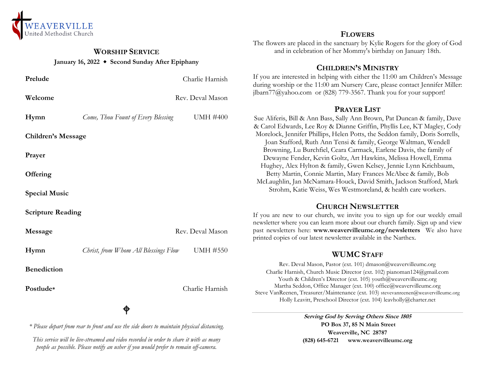

#### **WORSHIP SERVICE January 16, 2022 Second Sunday After Epiphany**

| Prelude                   |                                      | Charlie Harnish  |
|---------------------------|--------------------------------------|------------------|
| Welcome                   |                                      | Rev. Deval Mason |
| Hymn                      | Come, Thou Fount of Every Blessing   | <b>UMH #400</b>  |
| <b>Children's Message</b> |                                      |                  |
| Prayer                    |                                      |                  |
| Offering                  |                                      |                  |
| <b>Special Music</b>      |                                      |                  |
| <b>Scripture Reading</b>  |                                      |                  |
| Message                   |                                      | Rev. Deval Mason |
| Hymn                      | Christ, from Whom All Blessings Flow | <b>UMH #550</b>  |
| <b>Benediction</b>        |                                      |                  |
| Postlude*                 |                                      | Charlie Harnish  |
|                           |                                      |                  |

*\* Please depart from rear to front and use the side doors to maintain physical distancing.*

*This service will be live-streamed and video recorded in order to share it with as many people as possible. Please notify an usher if you would prefer to remain off-camera.*

#### **FLOWERS**

The flowers are placed in the sanctuary by Kylie Rogers for the glory of God and in celebration of her Mommy's birthday on January 18th.

## **CHILDREN'S MINISTRY**

If you are interested in helping with either the 11:00 am Children's Message during worship or the 11:00 am Nursery Care, please contact Jennifer Miller: jlbarn $77$ @yahoo.com or (828) 779-3567. Thank you for your support!

## **PRAYER LIST**

Sue Aliferis, Bill & Ann Bass, Sally Ann Brown, Pat Duncan & family, Dave & Carol Edwards, Lee Roy & Dianne Griffin, Phyllis Lee, KT Magley, Cody Morelock, Jennifer Phillips, Helen Potts, the Seddon family, Doris Sorrells, Joan Stafford, Ruth Ann Tensi & family, George Waltman, Wendell Browning, Lu Burchfiel, Ceara Carmack, Earlene Davis, the family of Dewayne Fender, Kevin Goltz, Art Hawkins, Melissa Howell, Emma Hughey, Alex Hylton & family, Gwen Kelsey, Jennie Lynn Krichbaum, Betty Martin, Connie Martin, Mary Frances McAbee & family, Bob McLaughlin, Jan McNamara-Houck, David Smith, Jackson Stafford, Mark Strohm, Katie Weiss, Wes Westmoreland, & health care workers.

## **CHURCH NEWSLETTER**

If you are new to our church, we invite you to sign up for our weekly email newsletter where you can learn more about our church family. Sign up and view past newsletters here: **www.weavervilleumc.org/newsletters** We also have printed copies of our latest newsletter available in the Narthex.

# **WUMC STAFF**

Rev. Deval Mason, Pastor (ext. 101) dmason@weavervilleumc.org Charlie Harnish, Church Music Director (ext. 102) pianoman124@gmail.com Youth & Children's Director (ext. 105) youth@weavervilleumc.org Martha Seddon, Office Manager (ext. 100) office@weavervilleumc.org Steve VanReenen, Treasurer/Maintenance (ext. 103) stevevanreenen@weavervilleumc.org Holly Leavitt, Preschool Director (ext. 104) leavholly@charter.net

> **Serving God by Serving Others Since 1805 PO Box 37, 85 N Main Street Weaverville, NC 28787 (828) 645-6721 [www.weavervilleumc.org](http://www.weavervilleumc.org/)**